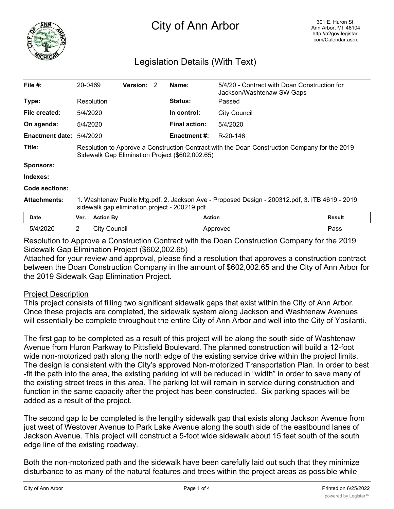

## City of Ann Arbor

## Legislation Details (With Text)

| File $#$ :                 | 20-0469                                                                                                                                          |                  | <b>Version:</b> | 2 | Name:                | 5/4/20 - Contract with Doan Construction for<br>Jackson/Washtenaw SW Gaps |        |
|----------------------------|--------------------------------------------------------------------------------------------------------------------------------------------------|------------------|-----------------|---|----------------------|---------------------------------------------------------------------------|--------|
| Type:                      | Resolution                                                                                                                                       |                  |                 |   | <b>Status:</b>       | Passed                                                                    |        |
| File created:              | 5/4/2020                                                                                                                                         |                  |                 |   | In control:          | <b>City Council</b>                                                       |        |
| On agenda:                 | 5/4/2020                                                                                                                                         |                  |                 |   | <b>Final action:</b> | 5/4/2020                                                                  |        |
| Enactment date: $5/4/2020$ |                                                                                                                                                  |                  |                 |   | Enactment #:         | R-20-146                                                                  |        |
| Title:                     | Resolution to Approve a Construction Contract with the Doan Construction Company for the 2019<br>Sidewalk Gap Elimination Project (\$602,002.65) |                  |                 |   |                      |                                                                           |        |
| <b>Sponsors:</b>           |                                                                                                                                                  |                  |                 |   |                      |                                                                           |        |
| Indexes:                   |                                                                                                                                                  |                  |                 |   |                      |                                                                           |        |
| Code sections:             |                                                                                                                                                  |                  |                 |   |                      |                                                                           |        |
| <b>Attachments:</b>        | 1. Washtenaw Public Mtg.pdf, 2. Jackson Ave - Proposed Design - 200312.pdf, 3. ITB 4619 - 2019<br>sidewalk gap elimination project - 200219.pdf  |                  |                 |   |                      |                                                                           |        |
| Date                       | Ver.                                                                                                                                             | <b>Action By</b> |                 |   | <b>Action</b>        |                                                                           | Result |
| 5/4/2020                   | $\mathbf{2}^{\prime}$                                                                                                                            | City Council     |                 |   |                      | Approved                                                                  | Pass   |

Resolution to Approve a Construction Contract with the Doan Construction Company for the 2019 Sidewalk Gap Elimination Project (\$602,002.65)

Attached for your review and approval, please find a resolution that approves a construction contract between the Doan Construction Company in the amount of \$602,002.65 and the City of Ann Arbor for the 2019 Sidewalk Gap Elimination Project.

## Project Description

This project consists of filling two significant sidewalk gaps that exist within the City of Ann Arbor. Once these projects are completed, the sidewalk system along Jackson and Washtenaw Avenues will essentially be complete throughout the entire City of Ann Arbor and well into the City of Ypsilanti.

The first gap to be completed as a result of this project will be along the south side of Washtenaw Avenue from Huron Parkway to Pittsfield Boulevard. The planned construction will build a 12-foot wide non-motorized path along the north edge of the existing service drive within the project limits. The design is consistent with the City's approved Non-motorized Transportation Plan. In order to best -fit the path into the area, the existing parking lot will be reduced in "width" in order to save many of the existing street trees in this area. The parking lot will remain in service during construction and function in the same capacity after the project has been constructed. Six parking spaces will be added as a result of the project.

The second gap to be completed is the lengthy sidewalk gap that exists along Jackson Avenue from just west of Westover Avenue to Park Lake Avenue along the south side of the eastbound lanes of Jackson Avenue. This project will construct a 5-foot wide sidewalk about 15 feet south of the south edge line of the existing roadway.

Both the non-motorized path and the sidewalk have been carefully laid out such that they minimize disturbance to as many of the natural features and trees within the project areas as possible while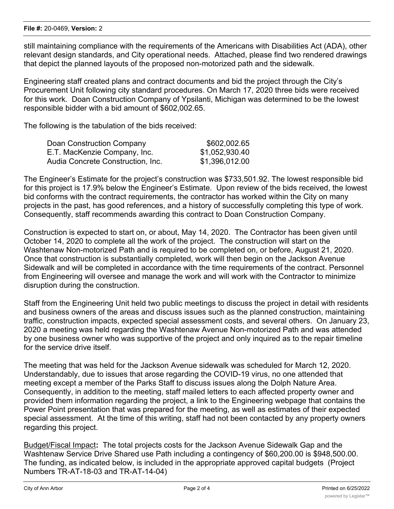still maintaining compliance with the requirements of the Americans with Disabilities Act (ADA), other relevant design standards, and City operational needs. Attached, please find two rendered drawings that depict the planned layouts of the proposed non-motorized path and the sidewalk.

Engineering staff created plans and contract documents and bid the project through the City's Procurement Unit following city standard procedures. On March 17, 2020 three bids were received for this work. Doan Construction Company of Ypsilanti, Michigan was determined to be the lowest responsible bidder with a bid amount of \$602,002.65.

The following is the tabulation of the bids received:

| Doan Construction Company         | \$602,002.65   |
|-----------------------------------|----------------|
| E.T. MacKenzie Company, Inc.      | \$1,052,930.40 |
| Audia Concrete Construction, Inc. | \$1,396,012.00 |

The Engineer's Estimate for the project's construction was \$733,501.92. The lowest responsible bid for this project is 17.9% below the Engineer's Estimate. Upon review of the bids received, the lowest bid conforms with the contract requirements, the contractor has worked within the City on many projects in the past, has good references, and a history of successfully completing this type of work. Consequently, staff recommends awarding this contract to Doan Construction Company.

Construction is expected to start on, or about, May 14, 2020. The Contractor has been given until October 14, 2020 to complete all the work of the project. The construction will start on the Washtenaw Non-motorized Path and is required to be completed on, or before, August 21, 2020. Once that construction is substantially completed, work will then begin on the Jackson Avenue Sidewalk and will be completed in accordance with the time requirements of the contract. Personnel from Engineering will oversee and manage the work and will work with the Contractor to minimize disruption during the construction.

Staff from the Engineering Unit held two public meetings to discuss the project in detail with residents and business owners of the areas and discuss issues such as the planned construction, maintaining traffic, construction impacts, expected special assessment costs, and several others. On January 23, 2020 a meeting was held regarding the Washtenaw Avenue Non-motorized Path and was attended by one business owner who was supportive of the project and only inquired as to the repair timeline for the service drive itself.

The meeting that was held for the Jackson Avenue sidewalk was scheduled for March 12, 2020. Understandably, due to issues that arose regarding the COVID-19 virus, no one attended that meeting except a member of the Parks Staff to discuss issues along the Dolph Nature Area. Consequently, in addition to the meeting, staff mailed letters to each affected property owner and provided them information regarding the project, a link to the Engineering webpage that contains the Power Point presentation that was prepared for the meeting, as well as estimates of their expected special assessment. At the time of this writing, staff had not been contacted by any property owners regarding this project.

Budget/Fiscal Impact**:** The total projects costs for the Jackson Avenue Sidewalk Gap and the Washtenaw Service Drive Shared use Path including a contingency of \$60,200.00 is \$948,500.00. The funding, as indicated below, is included in the appropriate approved capital budgets (Project Numbers TR-AT-18-03 and TR-AT-14-04)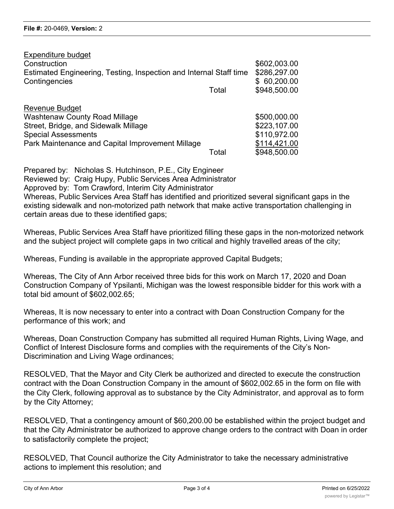| Expenditure budget                                                 |                       |
|--------------------------------------------------------------------|-----------------------|
| Construction                                                       | \$602,003.00          |
| Estimated Engineering, Testing, Inspection and Internal Staff time | \$286,297.00          |
| Contingencies                                                      | \$60,200.00           |
|                                                                    | \$948,500.00<br>Total |
|                                                                    |                       |
| <b>Revenue Budget</b>                                              |                       |
| <b>Washtenaw County Road Millage</b>                               | \$500,000.00          |
| Street, Bridge, and Sidewalk Millage                               | \$223,107.00          |
| <b>Special Assessments</b>                                         | \$110,972.00          |
| Park Maintenance and Capital Improvement Millage                   | \$114,421.00          |
|                                                                    | \$948,500.00<br>Total |

Prepared by: Nicholas S. Hutchinson, P.E., City Engineer Reviewed by: Craig Hupy, Public Services Area Administrator Approved by: Tom Crawford, Interim City Administrator Whereas, Public Services Area Staff has identified and prioritized several significant gaps in the existing sidewalk and non-motorized path network that make active transportation challenging in certain areas due to these identified gaps;

Whereas, Public Services Area Staff have prioritized filling these gaps in the non-motorized network and the subject project will complete gaps in two critical and highly travelled areas of the city;

Whereas, Funding is available in the appropriate approved Capital Budgets;

Whereas, The City of Ann Arbor received three bids for this work on March 17, 2020 and Doan Construction Company of Ypsilanti, Michigan was the lowest responsible bidder for this work with a total bid amount of \$602,002.65;

Whereas, It is now necessary to enter into a contract with Doan Construction Company for the performance of this work; and

Whereas, Doan Construction Company has submitted all required Human Rights, Living Wage, and Conflict of Interest Disclosure forms and complies with the requirements of the City's Non-Discrimination and Living Wage ordinances;

RESOLVED, That the Mayor and City Clerk be authorized and directed to execute the construction contract with the Doan Construction Company in the amount of \$602,002.65 in the form on file with the City Clerk, following approval as to substance by the City Administrator, and approval as to form by the City Attorney;

RESOLVED, That a contingency amount of \$60,200.00 be established within the project budget and that the City Administrator be authorized to approve change orders to the contract with Doan in order to satisfactorily complete the project;

RESOLVED, That Council authorize the City Administrator to take the necessary administrative actions to implement this resolution; and